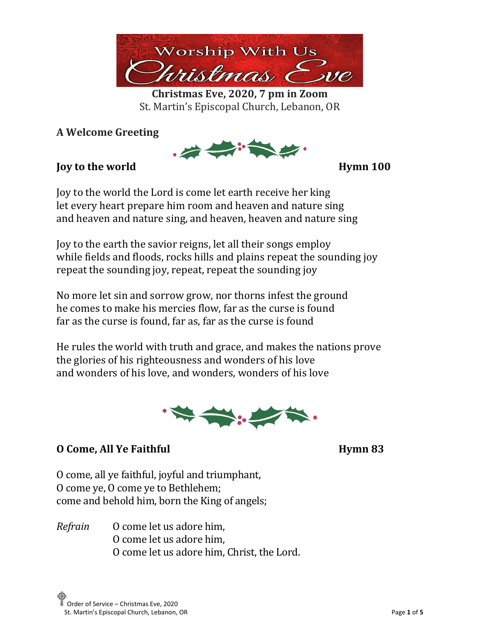

O come ye, O come ye to Bethlehem;

*Refrain* O come let us adore him,

O come, all ye faithful, joyful and triumphant,

come and behold him, born the King of angels;



He rules the world with truth and grace, and makes the nations prove the glories of his righteousness and wonders of his love and wonders of his love, and wonders, wonders of his love

and heaven and nature sing, and heaven, heaven and nature sing

No more let sin and sorrow grow, nor thorns infest the ground he comes to make his mercies flow, far as the curse is found

repeat the sounding joy, repeat, repeat the sounding joy

far as the curse is found, far as, far as the curse is found

Joy to the world the Lord is come let earth receive her king let every heart prepare him room and heaven and nature sing

Joy to the earth the savior reigns, let all their songs employ

while fields and floods, rocks hills and plains repeat the sounding joy

**Joy to the world Hymn 100** 

 $\rightarrow$ 



**Christmas Eve, 2020, 7 pm in Zoom** St. Martin's Episcopal Church, Lebanon, OR

 $\blacktriangleright$ 

**A Welcome Greeting**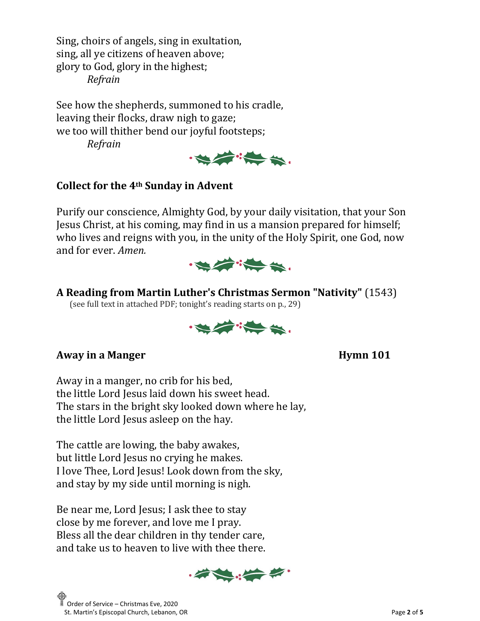Sing, choirs of angels, sing in exultation, sing, all ye citizens of heaven above; glory to God, glory in the highest; *Refrain*

See how the shepherds, summoned to his cradle, leaving their flocks, draw nigh to gaze; we too will thither bend our joyful footsteps; *Refrain*



### **Collect for the 4th Sunday in Advent**

Purify our conscience, Almighty God, by your daily visitation, that your Son Jesus Christ, at his coming, may find in us a mansion prepared for himself; who lives and reigns with you, in the unity of the Holy Spirit, one God, now and for ever. *Amen.*



**A Reading from Martin Luther's Christmas Sermon "Nativity"** (1543)

(see full text in attached PDF; tonight's reading starts on p., 29)



#### Away in a Manger **Hymn** 101

Away in a manger, no crib for his bed, the little Lord Jesus laid down his sweet head. The stars in the bright sky looked down where he lay, the little Lord Jesus asleep on the hay.

The cattle are lowing, the baby awakes, but little Lord Jesus no crying he makes. I love Thee, Lord Jesus! Look down from the sky, and stay by my side until morning is nigh.

Be near me, Lord Jesus; I ask thee to stay close by me forever, and love me I pray. Bless all the dear children in thy tender care, and take us to heaven to live with thee there.

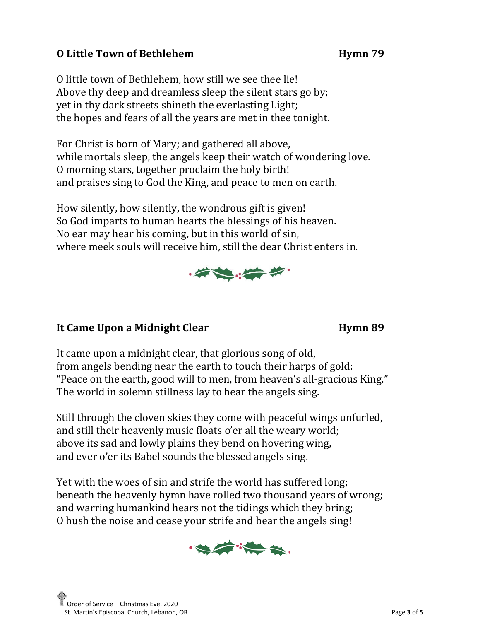## **O** Little Town of Bethlehem **Hymn** 79

O little town of Bethlehem, how still we see thee lie! Above thy deep and dreamless sleep the silent stars go by; yet in thy dark streets shineth the everlasting Light; the hopes and fears of all the years are met in thee tonight.

For Christ is born of Mary; and gathered all above, while mortals sleep, the angels keep their watch of wondering love. O morning stars, together proclaim the holy birth! and praises sing to God the King, and peace to men on earth.

How silently, how silently, the wondrous gift is given! So God imparts to human hearts the blessings of his heaven. No ear may hear his coming, but in this world of sin, where meek souls will receive him, still the dear Christ enters in.



## **It Came Upon a Midnight Clear https://www.filterary.com/infinity-marging Property Reports:**

It came upon a midnight clear, that glorious song of old, from angels bending near the earth to touch their harps of gold: "Peace on the earth, good will to men, from heaven's all-gracious King." The world in solemn stillness lay to hear the angels sing.

Still through the cloven skies they come with peaceful wings unfurled, and still their heavenly music floats o'er all the weary world; above its sad and lowly plains they bend on hovering wing, and ever o'er its Babel sounds the blessed angels sing.

Yet with the woes of sin and strife the world has suffered long; beneath the heavenly hymn have rolled two thousand years of wrong; and warring humankind hears not the tidings which they bring; O hush the noise and cease your strife and hear the angels sing!

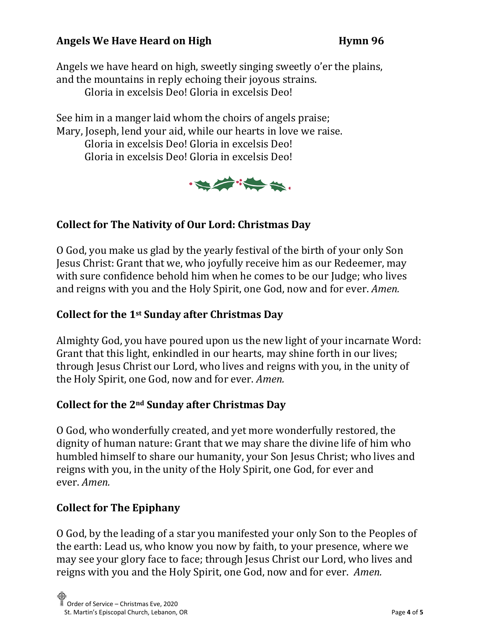## Angels We Have Heard on High **Hymn** 96

Angels we have heard on high, sweetly singing sweetly o'er the plains, and the mountains in reply echoing their joyous strains. Gloria in excelsis Deo! Gloria in excelsis Deo!

See him in a manger laid whom the choirs of angels praise; Mary, Joseph, lend your aid, while our hearts in love we raise. Gloria in excelsis Deo! Gloria in excelsis Deo! Gloria in excelsis Deo! Gloria in excelsis Deo!



# **Collect for The Nativity of Our Lord: Christmas Day**

O God, you make us glad by the yearly festival of the birth of your only Son Jesus Christ: Grant that we, who joyfully receive him as our Redeemer, may with sure confidence behold him when he comes to be our Judge; who lives and reigns with you and the Holy Spirit, one God, now and for ever. *Amen.*

## **Collect for the 1st Sunday after Christmas Day**

Almighty God, you have poured upon us the new light of your incarnate Word: Grant that this light, enkindled in our hearts, may shine forth in our lives; through Jesus Christ our Lord, who lives and reigns with you, in the unity of the Holy Spirit, one God, now and for ever. *Amen.*

## **Collect for the 2nd Sunday after Christmas Day**

O God, who wonderfully created, and yet more wonderfully restored, the dignity of human nature: Grant that we may share the divine life of him who humbled himself to share our humanity, your Son Jesus Christ; who lives and reigns with you, in the unity of the Holy Spirit, one God, for ever and ever. *Amen.*

## **Collect for The Epiphany**

O God, by the leading of a star you manifested your only Son to the Peoples of the earth: Lead us, who know you now by faith, to your presence, where we may see your glory face to face; through Jesus Christ our Lord, who lives and reigns with you and the Holy Spirit, one God, now and for ever. *Amen.*